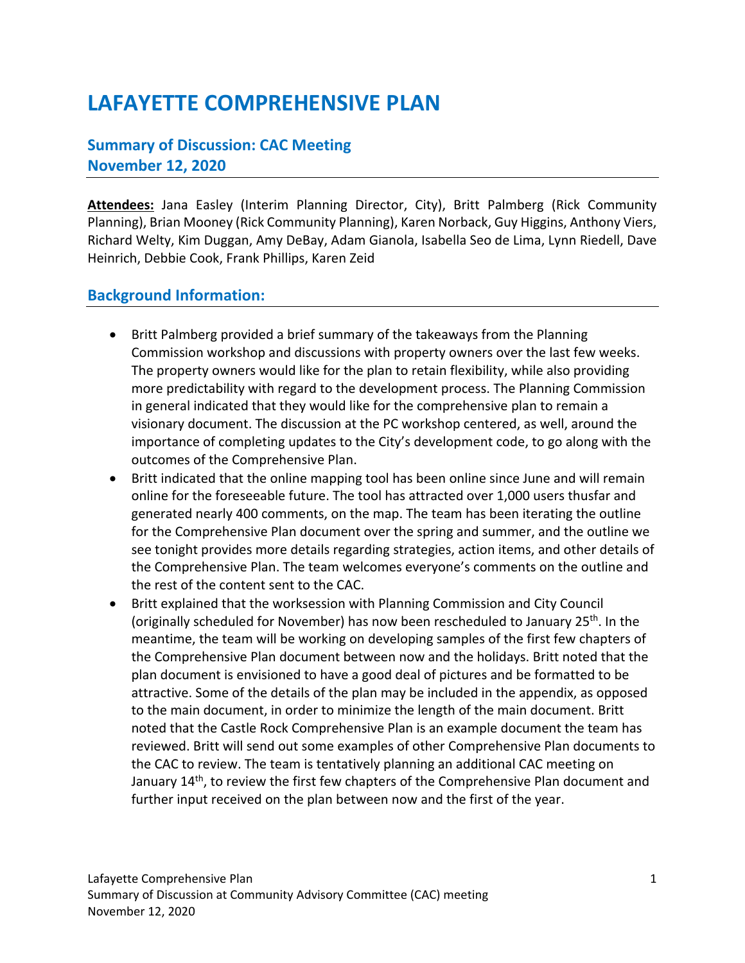# **LAFAYETTE COMPREHENSIVE PLAN**

### **Summary of Discussion: CAC Meeting November 12, 2020**

Attendees: Jana Easley (Interim Planning Director, City), Britt Palmberg (Rick Community Planning), Brian Mooney (Rick Community Planning), Karen Norback, Guy Higgins, Anthony Viers, Richard Welty, Kim Duggan, Amy DeBay, Adam Gianola, Isabella Seo de Lima, Lynn Riedell, Dave Heinrich, Debbie Cook, Frank Phillips, Karen Zeid

#### **Background Information:**

- Britt Palmberg provided a brief summary of the takeaways from the Planning Commission workshop and discussions with property owners over the last few weeks. The property owners would like for the plan to retain flexibility, while also providing more predictability with regard to the development process. The Planning Commission in general indicated that they would like for the comprehensive plan to remain a visionary document. The discussion at the PC workshop centered, as well, around the importance of completing updates to the City's development code, to go along with the outcomes of the Comprehensive Plan.
- Britt indicated that the online mapping tool has been online since June and will remain online for the foreseeable future. The tool has attracted over 1,000 users thusfar and generated nearly 400 comments, on the map. The team has been iterating the outline for the Comprehensive Plan document over the spring and summer, and the outline we see tonight provides more details regarding strategies, action items, and other details of the Comprehensive Plan. The team welcomes everyone's comments on the outline and the rest of the content sent to the CAC.
- Britt explained that the worksession with Planning Commission and City Council (originally scheduled for November) has now been rescheduled to January 25<sup>th</sup>. In the meantime, the team will be working on developing samples of the first few chapters of the Comprehensive Plan document between now and the holidays. Britt noted that the plan document is envisioned to have a good deal of pictures and be formatted to be attractive. Some of the details of the plan may be included in the appendix, as opposed to the main document, in order to minimize the length of the main document. Britt noted that the Castle Rock Comprehensive Plan is an example document the team has reviewed. Britt will send out some examples of other Comprehensive Plan documents to the CAC to review. The team is tentatively planning an additional CAC meeting on January 14<sup>th</sup>, to review the first few chapters of the Comprehensive Plan document and further input received on the plan between now and the first of the year.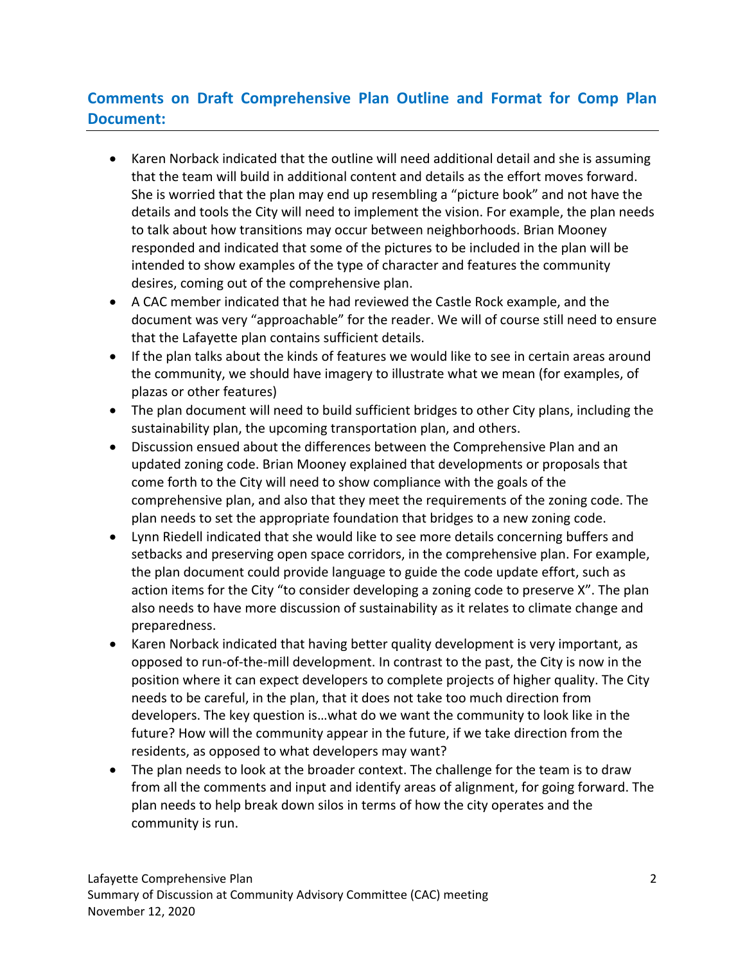## **Comments on Draft Comprehensive Plan Outline and Format for Comp Plan Document:**

- Karen Norback indicated that the outline will need additional detail and she is assuming that the team will build in additional content and details as the effort moves forward. She is worried that the plan may end up resembling a "picture book" and not have the details and tools the City will need to implement the vision. For example, the plan needs to talk about how transitions may occur between neighborhoods. Brian Mooney responded and indicated that some of the pictures to be included in the plan will be intended to show examples of the type of character and features the community desires, coming out of the comprehensive plan.
- A CAC member indicated that he had reviewed the Castle Rock example, and the document was very "approachable" for the reader. We will of course still need to ensure that the Lafayette plan contains sufficient details.
- If the plan talks about the kinds of features we would like to see in certain areas around the community, we should have imagery to illustrate what we mean (for examples, of plazas or other features)
- The plan document will need to build sufficient bridges to other City plans, including the sustainability plan, the upcoming transportation plan, and others.
- Discussion ensued about the differences between the Comprehensive Plan and an updated zoning code. Brian Mooney explained that developments or proposals that come forth to the City will need to show compliance with the goals of the comprehensive plan, and also that they meet the requirements of the zoning code. The plan needs to set the appropriate foundation that bridges to a new zoning code.
- Lynn Riedell indicated that she would like to see more details concerning buffers and setbacks and preserving open space corridors, in the comprehensive plan. For example, the plan document could provide language to guide the code update effort, such as action items for the City "to consider developing a zoning code to preserve X". The plan also needs to have more discussion of sustainability as it relates to climate change and preparedness.
- Karen Norback indicated that having better quality development is very important, as opposed to run‐of‐the‐mill development. In contrast to the past, the City is now in the position where it can expect developers to complete projects of higher quality. The City needs to be careful, in the plan, that it does not take too much direction from developers. The key question is…what do we want the community to look like in the future? How will the community appear in the future, if we take direction from the residents, as opposed to what developers may want?
- The plan needs to look at the broader context. The challenge for the team is to draw from all the comments and input and identify areas of alignment, for going forward. The plan needs to help break down silos in terms of how the city operates and the community is run.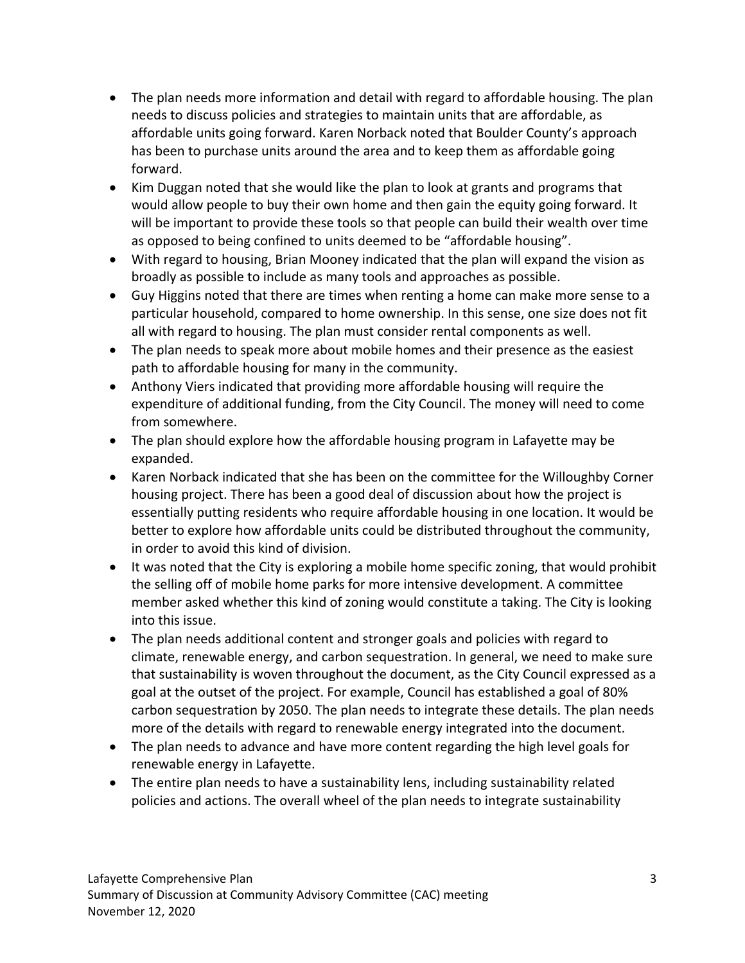- The plan needs more information and detail with regard to affordable housing. The plan needs to discuss policies and strategies to maintain units that are affordable, as affordable units going forward. Karen Norback noted that Boulder County's approach has been to purchase units around the area and to keep them as affordable going forward.
- Kim Duggan noted that she would like the plan to look at grants and programs that would allow people to buy their own home and then gain the equity going forward. It will be important to provide these tools so that people can build their wealth over time as opposed to being confined to units deemed to be "affordable housing".
- With regard to housing, Brian Mooney indicated that the plan will expand the vision as broadly as possible to include as many tools and approaches as possible.
- Guy Higgins noted that there are times when renting a home can make more sense to a particular household, compared to home ownership. In this sense, one size does not fit all with regard to housing. The plan must consider rental components as well.
- The plan needs to speak more about mobile homes and their presence as the easiest path to affordable housing for many in the community.
- Anthony Viers indicated that providing more affordable housing will require the expenditure of additional funding, from the City Council. The money will need to come from somewhere.
- The plan should explore how the affordable housing program in Lafayette may be expanded.
- Karen Norback indicated that she has been on the committee for the Willoughby Corner housing project. There has been a good deal of discussion about how the project is essentially putting residents who require affordable housing in one location. It would be better to explore how affordable units could be distributed throughout the community, in order to avoid this kind of division.
- It was noted that the City is exploring a mobile home specific zoning, that would prohibit the selling off of mobile home parks for more intensive development. A committee member asked whether this kind of zoning would constitute a taking. The City is looking into this issue.
- The plan needs additional content and stronger goals and policies with regard to climate, renewable energy, and carbon sequestration. In general, we need to make sure that sustainability is woven throughout the document, as the City Council expressed as a goal at the outset of the project. For example, Council has established a goal of 80% carbon sequestration by 2050. The plan needs to integrate these details. The plan needs more of the details with regard to renewable energy integrated into the document.
- The plan needs to advance and have more content regarding the high level goals for renewable energy in Lafayette.
- The entire plan needs to have a sustainability lens, including sustainability related policies and actions. The overall wheel of the plan needs to integrate sustainability